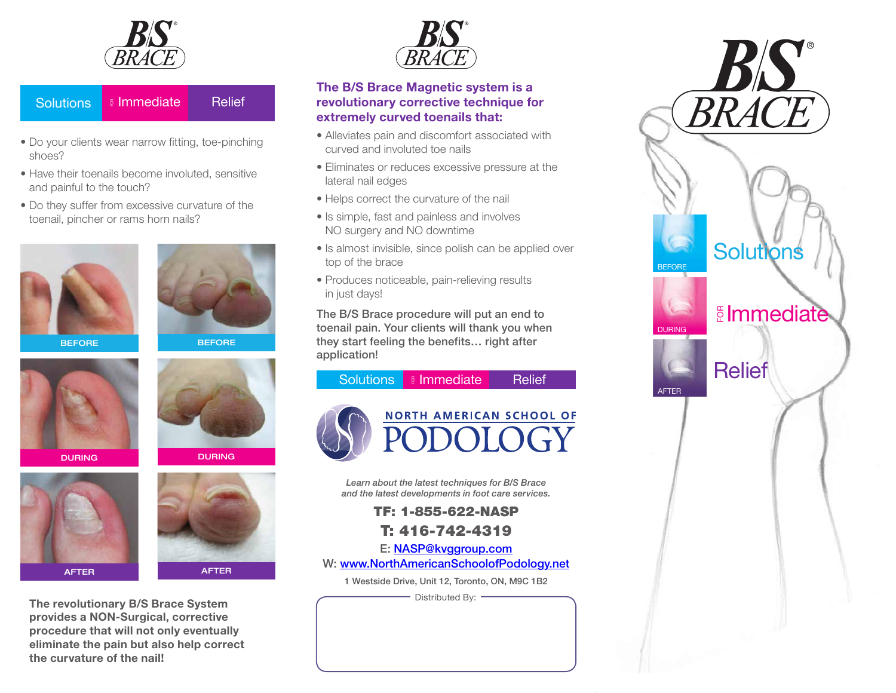

#### **Solutions**  $\stackrel{\scriptscriptstyle \mathrm{E}}{\scriptscriptstyle \mathrm{B}}$  Immediate Relief

- Do your clients wear narrow fitting, toe-pinching shoes?
- Have their toenails become involuted, sensitive and painful to the touch?
- Do they suffer from excessive curvature of the toenail, pincher or rams horn nails?





**BEFORE** 









**The revolutionary B/S Brace System provides a NON-Surgical, corrective procedure that will not only eventually eliminate the pain but also help correct the curvature of the nail!**



### **The B/S Brace Magnetic system is a revolutionary corrective technique for extremely curved toenails that:**

- Alleviates pain and discomfort associated with curved and involuted toe nails
- Eliminates or reduces excessive pressure at the lateral nail edges
- Helps correct the curvature of the nail
- Is simple, fast and painless and involves NO surgery and NO downtime
- Is almost invisible, since polish can be applied over top of the brace
- Produces noticeable, pain-relieving results in just days!

The B/S Brace procedure will put an end to toenail pain. Your clients will thank you when they start feeling the benefits… right after application!



*Learn about the latest techniques for B/S Brace and the latest developments in foot care services.*

> TF: 1-855-622-NASP T: 416-742-4319

E: [NASP@kvggroup.com](mailto:NASP@kvggroup.com) 

W: [www.NorthAmericanSchoolofPodology.net](http://www.podology.net)

1 Westside Drive, Unit 12, Toronto, ON, M9C 1B2

Distributed By: -